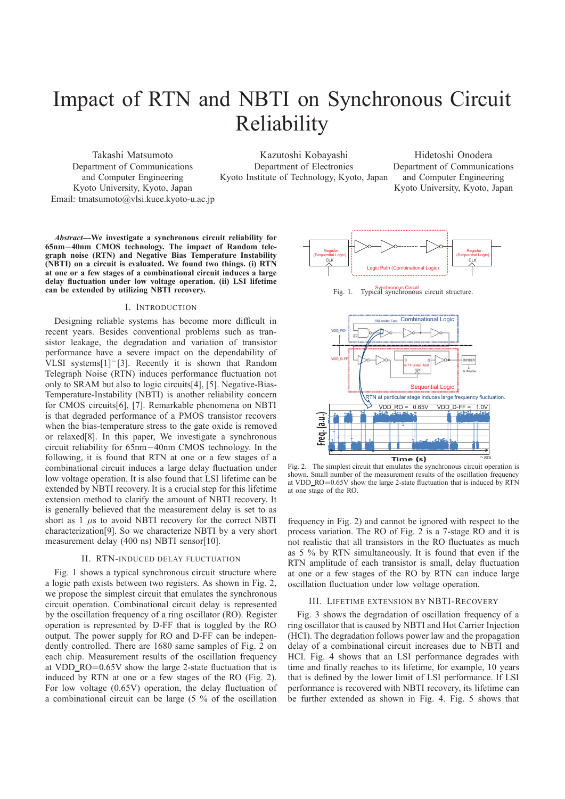# Impact of RTN and NBTI on Synchronous Circuit Reliability

Takashi Matsumoto Department of Communications and Computer Engineering Kyoto University, Kyoto, Japan Email: tmatsumoto@vlsi.kuee.kyoto-u.ac.jp

Kazutoshi Kobayashi Department of Electronics Kyoto Institute of Technology, Kyoto, Japan

Hidetoshi Onodera Department of Communications and Computer Engineering Kyoto University, Kyoto, Japan

*Abstract***—We investigate a synchronous circuit reliability for 65nm**−**40nm CMOS technology. The impact of Random telegraph noise (RTN) and Negative Bias Temperature Instability (NBTI) on a circuit is evaluated. We found two things. (i) RTN at one or a few stages of a combinational circuit induces a large delay fluctuation under low voltage operation. (ii) LSI lifetime can be extended by utilizing NBTI recovery.**

## I. INTRODUCTION

Designing reliable systems has become more difficult in recent years. Besides conventional problems such as transistor leakage, the degradation and variation of transistor performance have a severe impact on the dependability of VLSI systems[1]−[3]. Recently it is shown that Random Telegraph Noise (RTN) induces performance fluctuation not only to SRAM but also to logic circuits[4], [5]. Negative-Bias-Temperature-Instability (NBTI) is another reliability concern for CMOS circuits[6], [7]. Remarkable phenomena on NBTI is that degraded performance of a PMOS transistor recovers when the bias-temperature stress to the gate oxide is removed or relaxed[8]. In this paper, We investigate a synchronous circuit reliability for 65nm−40nm CMOS technology. In the following, it is found that RTN at one or a few stages of a combinational circuit induces a large delay fluctuation under low voltage operation. It is also found that LSI lifetime can be extended by NBTI recovery. It is a crucial step for this lifetime extension method to clarify the amount of NBTI recovery. It is generally believed that the measurement delay is set to as short as  $1 \mu s$  to avoid NBTI recovery for the correct NBTI characterization[9]. So we characterize NBTI by a very short measurement delay (400 ns) NBTI sensor[10].

# II. RTN-INDUCED DELAY FLUCTUATION

Fig. 1 shows a typical synchronous circuit structure where a logic path exists between two registers. As shown in Fig. 2, we propose the simplest circuit that emulates the synchronous circuit operation. Combinational circuit delay is represented by the oscillation frequency of a ring oscillator (RO). Register operation is represented by D-FF that is toggled by the RO output. The power supply for RO and D-FF can be independently controlled. There are 1680 same samples of Fig. 2 on each chip. Measurement results of the oscillation frequency at VDD RO=0.65V show the large 2-state fluctuation that is induced by RTN at one or a few stages of the RO (Fig. 2). For low voltage (0.65V) operation, the delay fluctuation of a combinational circuit can be large (5 % of the oscillation



Fig. 1. Typical synchronous circuit structure.



Fig. 2. The simplest circuit that emulates the synchronous circuit operation is shown. Small number of the measurement results of the oscillation frequency at VDD\_RO= $0.65V$  show the large 2-state fluctuation that is induced by RTN at one stage of the RO.

frequency in Fig. 2) and cannot be ignored with respect to the process variation. The RO of Fig. 2 is a 7-stage RO and it is not realistic that all transistors in the RO fluctuates as much as 5 % by RTN simultaneously. It is found that even if the RTN amplitude of each transistor is small, delay fluctuation at one or a few stages of the RO by RTN can induce large oscillation fluctuation under low voltage operation.

### III. LIFETIME EXTENSION BY NBTI-RECOVERY

Fig. 3 shows the degradation of oscillation frequency of a ring oscillator that is caused by NBTI and Hot Carrier Injection (HCI). The degradation follows power law and the propagation delay of a combinational circuit increases due to NBTI and HCI. Fig. 4 shows that an LSI performance degrades with time and finally reaches to its lifetime, for example, 10 years that is defined by the lower limit of LSI performance. If LSI performance is recovered with NBTI recovery, its lifetime can be further extended as shown in Fig. 4. Fig. 5 shows that